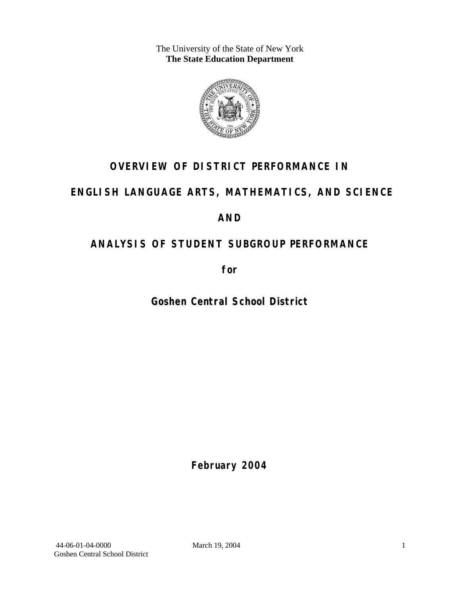The University of the State of New York **The State Education Department** 



# **OVERVIEW OF DISTRICT PERFORMANCE IN**

# **ENGLISH LANGUAGE ARTS, MATHEMATICS, AND SCIENCE**

## **AND**

# **ANALYSIS OF STUDENT SUBGROUP PERFORMANCE**

**for** 

**Goshen Central School District**

**February 2004**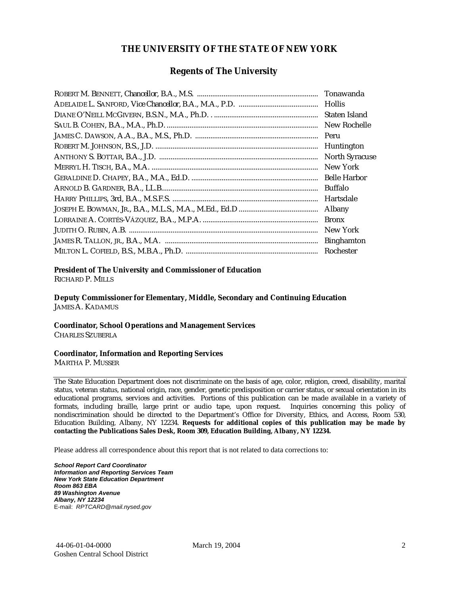#### **THE UNIVERSITY OF THE STATE OF NEW YORK**

#### **Regents of The University**

| Tonawanda             |
|-----------------------|
| <b>Hollis</b>         |
| Staten Island         |
| New Rochelle          |
| Peru                  |
| Huntington            |
| <b>North Syracuse</b> |
| New York              |
| <b>Belle Harbor</b>   |
| Buffalo               |
| Hartsdale             |
| Albany                |
| <b>Bronx</b>          |
| New York              |
| <b>Binghamton</b>     |
| Rochester             |

#### **President of The University and Commissioner of Education**

RICHARD P. MILLS

**Deputy Commissioner for Elementary, Middle, Secondary and Continuing Education**  JAMES A. KADAMUS

#### **Coordinator, School Operations and Management Services**

CHARLES SZUBERLA

#### **Coordinator, Information and Reporting Services**

MARTHA P. MUSSER

The State Education Department does not discriminate on the basis of age, color, religion, creed, disability, marital status, veteran status, national origin, race, gender, genetic predisposition or carrier status, or sexual orientation in its educational programs, services and activities. Portions of this publication can be made available in a variety of formats, including braille, large print or audio tape, upon request. Inquiries concerning this policy of nondiscrimination should be directed to the Department's Office for Diversity, Ethics, and Access, Room 530, Education Building, Albany, NY 12234. **Requests for additional copies of this publication may be made by contacting the Publications Sales Desk, Room 309, Education Building, Albany, NY 12234.** 

Please address all correspondence about this report that is not related to data corrections to:

*School Report Card Coordinator Information and Reporting Services Team New York State Education Department Room 863 EBA 89 Washington Avenue Albany, NY 12234*  E-mail: *RPTCARD@mail.nysed.gov*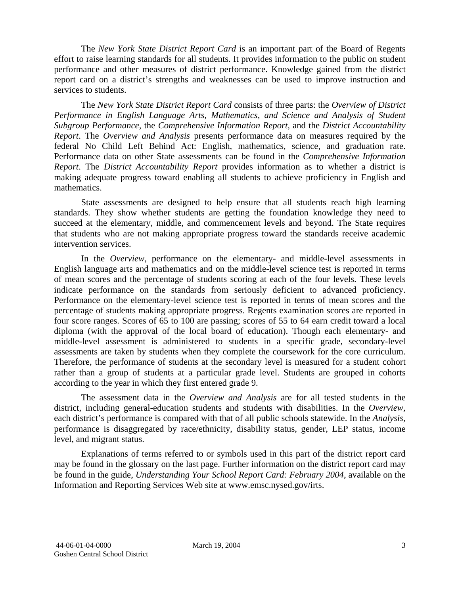The *New York State District Report Card* is an important part of the Board of Regents effort to raise learning standards for all students. It provides information to the public on student performance and other measures of district performance. Knowledge gained from the district report card on a district's strengths and weaknesses can be used to improve instruction and services to students.

The *New York State District Report Card* consists of three parts: the *Overview of District Performance in English Language Arts, Mathematics, and Science and Analysis of Student Subgroup Performance,* the *Comprehensive Information Report,* and the *District Accountability Report*. The *Overview and Analysis* presents performance data on measures required by the federal No Child Left Behind Act: English, mathematics, science, and graduation rate. Performance data on other State assessments can be found in the *Comprehensive Information Report*. The *District Accountability Report* provides information as to whether a district is making adequate progress toward enabling all students to achieve proficiency in English and mathematics.

State assessments are designed to help ensure that all students reach high learning standards. They show whether students are getting the foundation knowledge they need to succeed at the elementary, middle, and commencement levels and beyond. The State requires that students who are not making appropriate progress toward the standards receive academic intervention services.

In the *Overview*, performance on the elementary- and middle-level assessments in English language arts and mathematics and on the middle-level science test is reported in terms of mean scores and the percentage of students scoring at each of the four levels. These levels indicate performance on the standards from seriously deficient to advanced proficiency. Performance on the elementary-level science test is reported in terms of mean scores and the percentage of students making appropriate progress. Regents examination scores are reported in four score ranges. Scores of 65 to 100 are passing; scores of 55 to 64 earn credit toward a local diploma (with the approval of the local board of education). Though each elementary- and middle-level assessment is administered to students in a specific grade, secondary-level assessments are taken by students when they complete the coursework for the core curriculum. Therefore, the performance of students at the secondary level is measured for a student cohort rather than a group of students at a particular grade level. Students are grouped in cohorts according to the year in which they first entered grade 9.

The assessment data in the *Overview and Analysis* are for all tested students in the district, including general-education students and students with disabilities. In the *Overview*, each district's performance is compared with that of all public schools statewide. In the *Analysis*, performance is disaggregated by race/ethnicity, disability status, gender, LEP status, income level, and migrant status.

Explanations of terms referred to or symbols used in this part of the district report card may be found in the glossary on the last page. Further information on the district report card may be found in the guide, *Understanding Your School Report Card: February 2004*, available on the Information and Reporting Services Web site at www.emsc.nysed.gov/irts.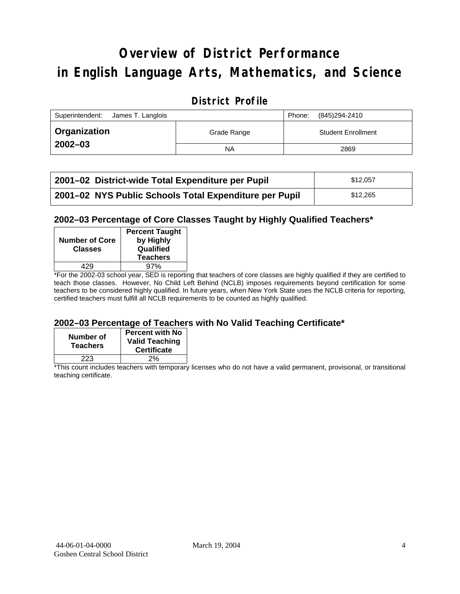# **Overview of District Performance in English Language Arts, Mathematics, and Science**

#### **District Profile**

| Superintendent:<br>James T. Langlois |             | Phone: | (845)294-2410             |
|--------------------------------------|-------------|--------|---------------------------|
| ∣ Organization                       | Grade Range |        | <b>Student Enrollment</b> |
| $2002 - 03$                          | <b>NA</b>   |        | 2869                      |

| 2001–02 District-wide Total Expenditure per Pupil      | \$12.057 |
|--------------------------------------------------------|----------|
| 2001-02 NYS Public Schools Total Expenditure per Pupil | \$12.265 |

#### **2002–03 Percentage of Core Classes Taught by Highly Qualified Teachers\***

| <b>Number of Core</b><br><b>Classes</b> | <b>Percent Taught</b><br>by Highly<br>Qualified<br><b>Teachers</b> |
|-----------------------------------------|--------------------------------------------------------------------|
| 429                                     | 97%                                                                |
| . .<br>- -<br>----                      |                                                                    |

\*For the 2002-03 school year, SED is reporting that teachers of core classes are highly qualified if they are certified to teach those classes. However, No Child Left Behind (NCLB) imposes requirements beyond certification for some teachers to be considered highly qualified. In future years, when New York State uses the NCLB criteria for reporting, certified teachers must fulfill all NCLB requirements to be counted as highly qualified.

#### **2002–03 Percentage of Teachers with No Valid Teaching Certificate\***

| Number of<br><b>Teachers</b> | <b>Percent with No</b><br><b>Valid Teaching</b><br><b>Certificate</b> |
|------------------------------|-----------------------------------------------------------------------|
| 223                          | 2%                                                                    |

\*This count includes teachers with temporary licenses who do not have a valid permanent, provisional, or transitional teaching certificate.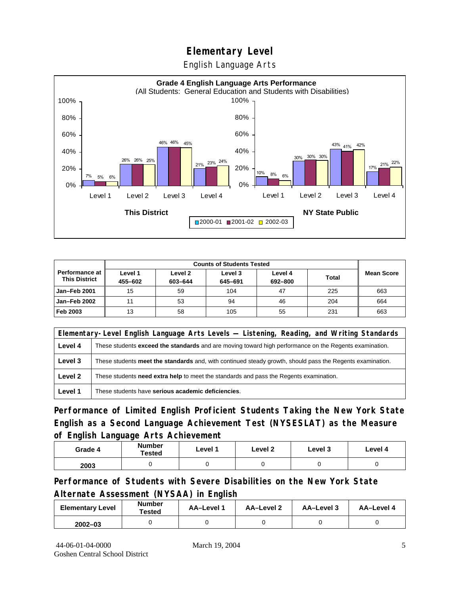English Language Arts



| <b>Counts of Students Tested</b>              |                    |                    |                    |                    |              |                   |
|-----------------------------------------------|--------------------|--------------------|--------------------|--------------------|--------------|-------------------|
| <b>Performance at</b><br><b>This District</b> | Level 1<br>455-602 | Level 2<br>603-644 | Level 3<br>645-691 | Level 4<br>692-800 | <b>Total</b> | <b>Mean Score</b> |
| Jan-Feb 2001                                  | 15                 | 59                 | 104                | 47                 | 225          | 663               |
| Jan-Feb 2002                                  | 11                 | 53                 | 94                 | 46                 | 204          | 664               |
| Feb 2003                                      | 13                 | 58                 | 105                | 55                 | 231          | 663               |

|         | Elementary-Level English Language Arts Levels — Listening, Reading, and Writing Standards                     |  |  |  |  |  |
|---------|---------------------------------------------------------------------------------------------------------------|--|--|--|--|--|
| Level 4 | These students <b>exceed the standards</b> and are moving toward high performance on the Regents examination. |  |  |  |  |  |
| Level 3 | These students meet the standards and, with continued steady growth, should pass the Regents examination.     |  |  |  |  |  |
| Level 2 | These students <b>need extra help</b> to meet the standards and pass the Regents examination.                 |  |  |  |  |  |
| Level 1 | These students have serious academic deficiencies.                                                            |  |  |  |  |  |

**Performance of Limited English Proficient Students Taking the New York State English as a Second Language Achievement Test (NYSESLAT) as the Measure of English Language Arts Achievement**

| Grade 4 | <b>Number</b><br><b>Tested</b> | Level 1 | Level 2 | Level 3 | Level 4 |
|---------|--------------------------------|---------|---------|---------|---------|
| 2003    |                                |         |         |         |         |

**Performance of Students with Severe Disabilities on the New York State Alternate Assessment (NYSAA) in English** 

| <b>Elementary Level</b> | <b>Number</b><br>Tested | AA-Level | AA-Level 2 | AA-Level 3 | AA-Level 4 |
|-------------------------|-------------------------|----------|------------|------------|------------|
| $2002 - 03$             |                         |          |            |            |            |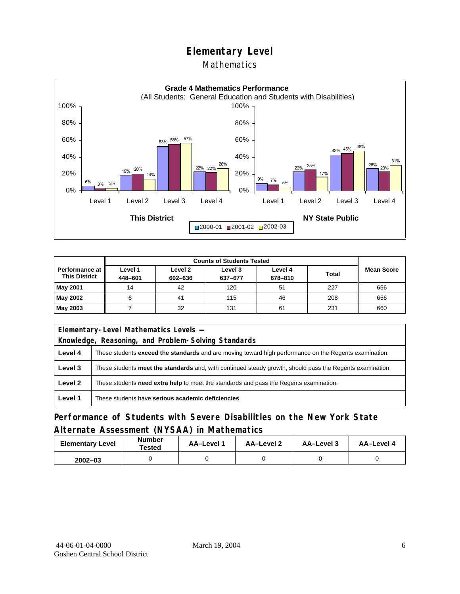#### Mathematics



| <b>Counts of Students Tested</b>                |                    |                    |                    |                    |              |                   |
|-------------------------------------------------|--------------------|--------------------|--------------------|--------------------|--------------|-------------------|
| <b>Performance at I</b><br><b>This District</b> | Level 1<br>448-601 | Level 2<br>602-636 | Level 3<br>637-677 | Level 4<br>678-810 | <b>Total</b> | <b>Mean Score</b> |
| <b>May 2001</b>                                 | 14                 | 42                 | 120                | 51                 | 227          | 656               |
| May 2002                                        |                    | 41                 | 115                | 46                 | 208          | 656               |
| May 2003                                        |                    | 32                 | 131                | 61                 | 231          | 660               |

| Elementary-Level Mathematics Levels - |                                                                                                               |  |  |  |
|---------------------------------------|---------------------------------------------------------------------------------------------------------------|--|--|--|
|                                       | Knowledge, Reasoning, and Problem-Solving Standards                                                           |  |  |  |
| Level 4                               | These students <b>exceed the standards</b> and are moving toward high performance on the Regents examination. |  |  |  |
| Level 3                               | These students meet the standards and, with continued steady growth, should pass the Regents examination.     |  |  |  |
| Level 2                               | These students need extra help to meet the standards and pass the Regents examination.                        |  |  |  |
| Level 1                               | These students have serious academic deficiencies.                                                            |  |  |  |

## **Performance of Students with Severe Disabilities on the New York State Alternate Assessment (NYSAA) in Mathematics**

| <b>Elementary Level</b> | <b>Number</b><br>Tested | <b>AA-Level 1</b> | AA-Level 2 | AA-Level 3 | AA-Level 4 |
|-------------------------|-------------------------|-------------------|------------|------------|------------|
| $2002 - 03$             |                         |                   |            |            |            |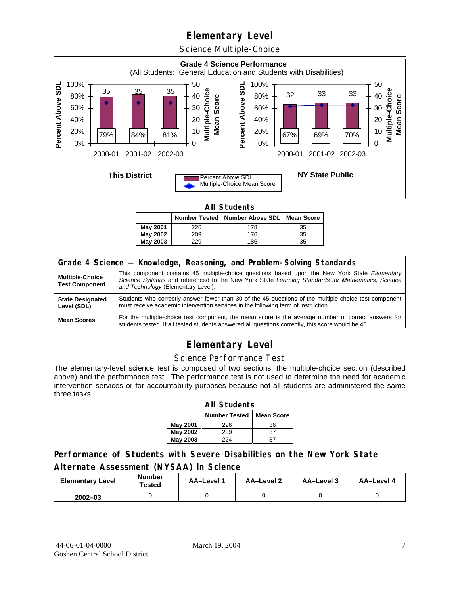Science Multiple-Choice



**All Students** 

|          |     | Number Tested   Number Above SDL   Mean Score |    |  |
|----------|-----|-----------------------------------------------|----|--|
| May 2001 | 226 | 178                                           | 35 |  |
| May 2002 | 209 | 176                                           | 35 |  |
| May 2003 | 229 | 186                                           | 35 |  |

| Grade 4 Science - Knowledge, Reasoning, and Problem-Solving Standards |                                                                                                                                                                                                                                          |  |  |  |  |
|-----------------------------------------------------------------------|------------------------------------------------------------------------------------------------------------------------------------------------------------------------------------------------------------------------------------------|--|--|--|--|
| <b>Multiple-Choice</b><br><b>Test Component</b>                       | This component contains 45 multiple-choice questions based upon the New York State Elementary<br>Science Syllabus and referenced to the New York State Learning Standards for Mathematics, Science<br>and Technology (Elementary Level). |  |  |  |  |
| <b>State Designated</b><br>Level (SDL)                                | Students who correctly answer fewer than 30 of the 45 questions of the multiple-choice test component<br>must receive academic intervention services in the following term of instruction.                                               |  |  |  |  |
| <b>Mean Scores</b>                                                    | For the multiple-choice test component, the mean score is the average number of correct answers for<br>students tested. If all tested students answered all questions correctly, this score would be 45.                                 |  |  |  |  |

## **Elementary Level**

#### Science Performance Test

The elementary-level science test is composed of two sections, the multiple-choice section (described above) and the performance test. The performance test is not used to determine the need for academic intervention services or for accountability purposes because not all students are administered the same three tasks.

| <b>All Students</b>                       |     |    |  |  |  |  |  |
|-------------------------------------------|-----|----|--|--|--|--|--|
| <b>Number Tested</b><br><b>Mean Score</b> |     |    |  |  |  |  |  |
| <b>May 2001</b>                           | 226 | 36 |  |  |  |  |  |
| May 2002                                  | 209 | 37 |  |  |  |  |  |
| <b>May 2003</b><br>224<br>37              |     |    |  |  |  |  |  |

#### **Performance of Students with Severe Disabilities on the New York State Alternate Assessment (NYSAA) in Science**

| <b>Elementary Level</b> | <b>Number</b><br>Tested | AA-Level | <b>AA-Level 2</b> | AA-Level 3 | AA-Level 4 |
|-------------------------|-------------------------|----------|-------------------|------------|------------|
| $2002 - 03$             |                         |          |                   |            |            |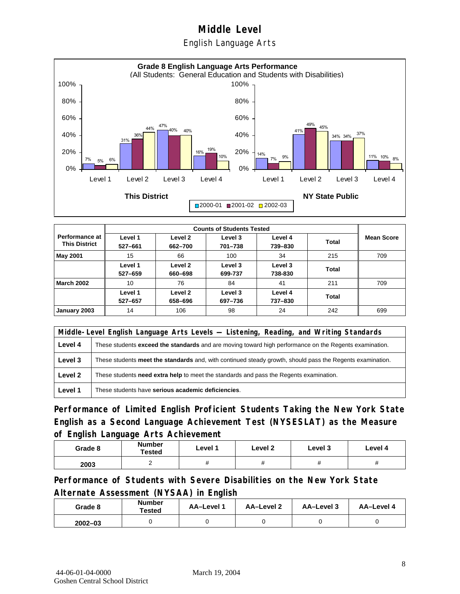English Language Arts



|                                               |                    |                    | <b>Counts of Students Tested</b> |                    |       |                   |
|-----------------------------------------------|--------------------|--------------------|----------------------------------|--------------------|-------|-------------------|
| <b>Performance at</b><br><b>This District</b> | Level 1<br>527-661 | Level 2<br>662-700 | Level 3<br>701-738               | Level 4<br>739-830 | Total | <b>Mean Score</b> |
| <b>May 2001</b>                               | 15                 | 66                 | 100                              | 34                 | 215   | 709               |
|                                               | Level 1<br>527-659 | Level 2<br>660-698 | Level 3<br>699-737               | Level 3<br>738-830 | Total |                   |
| <b>March 2002</b>                             | 10                 | 76                 | 84                               | 41                 | 211   | 709               |
|                                               | Level 1<br>527-657 | Level 2<br>658-696 | Level 3<br>697-736               | Level 4<br>737-830 | Total |                   |
| January 2003                                  | 14                 | 106                | 98                               | 24                 | 242   | 699               |

|         | Middle-Level English Language Arts Levels - Listening, Reading, and Writing Standards                         |  |  |  |  |
|---------|---------------------------------------------------------------------------------------------------------------|--|--|--|--|
| Level 4 | These students <b>exceed the standards</b> and are moving toward high performance on the Regents examination. |  |  |  |  |
| Level 3 | These students meet the standards and, with continued steady growth, should pass the Regents examination.     |  |  |  |  |
| Level 2 | These students need extra help to meet the standards and pass the Regents examination.                        |  |  |  |  |
| Level 1 | These students have serious academic deficiencies.                                                            |  |  |  |  |

**Performance of Limited English Proficient Students Taking the New York State English as a Second Language Achievement Test (NYSESLAT) as the Measure of English Language Arts Achievement**

| Grade 8 | <b>Number</b><br>Tested | Level 1 | Level 2 | Level 3 | Level 4 |
|---------|-------------------------|---------|---------|---------|---------|
| 2003    |                         |         |         | π       | п       |

**Performance of Students with Severe Disabilities on the New York State Alternate Assessment (NYSAA) in English** 

| Grade 8     | Number<br>Tested | AA-Level 1 | AA-Level 2 | AA-Level 3 | AA-Level 4 |
|-------------|------------------|------------|------------|------------|------------|
| $2002 - 03$ |                  |            |            |            |            |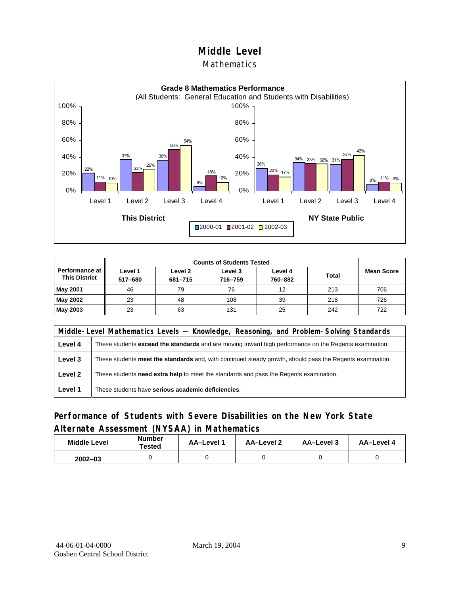#### Mathematics



| Performance at<br><b>This District</b> | Level 1<br>517-680 | Level 2<br>681-715 | Level 3<br>716-759 | Level 4<br>760-882 | <b>Total</b> | <b>Mean Score</b> |
|----------------------------------------|--------------------|--------------------|--------------------|--------------------|--------------|-------------------|
| <b>May 2001</b>                        | 46                 | 79                 | 76                 | 12                 | 213          | 706               |
| May 2002                               | 23                 | 48                 | 108                | 39                 | 218          | 726               |
| May 2003                               | 23                 | 63                 | 131                | 25                 | 242          | 722               |

|         | Middle-Level Mathematics Levels — Knowledge, Reasoning, and Problem-Solving Standards                         |  |  |  |  |
|---------|---------------------------------------------------------------------------------------------------------------|--|--|--|--|
| Level 4 | These students <b>exceed the standards</b> and are moving toward high performance on the Regents examination. |  |  |  |  |
| Level 3 | These students meet the standards and, with continued steady growth, should pass the Regents examination.     |  |  |  |  |
| Level 2 | These students <b>need extra help</b> to meet the standards and pass the Regents examination.                 |  |  |  |  |
| Level 1 | These students have serious academic deficiencies.                                                            |  |  |  |  |

#### **Performance of Students with Severe Disabilities on the New York State Alternate Assessment (NYSAA) in Mathematics**

| <b>Middle Level</b> | <b>Number</b><br>Tested | <b>AA-Level</b> | AA-Level 2 | AA-Level 3 | AA-Level 4 |
|---------------------|-------------------------|-----------------|------------|------------|------------|
| $2002 - 03$         |                         |                 |            |            |            |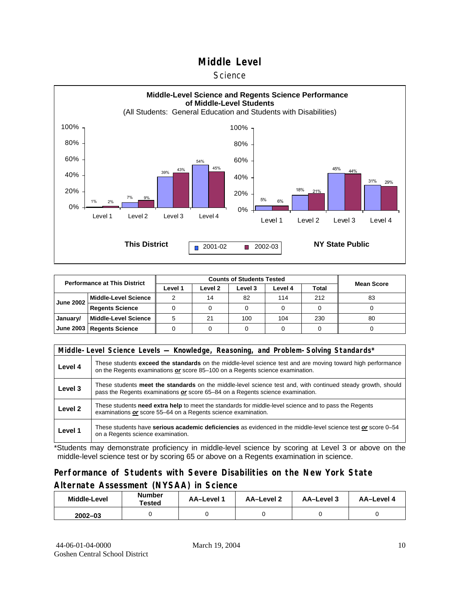#### **Science**



| <b>Performance at This District</b> |                             |         |         |         |         |       |                   |
|-------------------------------------|-----------------------------|---------|---------|---------|---------|-------|-------------------|
|                                     |                             | Level 1 | Level 2 | Level 3 | Level 4 | Total | <b>Mean Score</b> |
| <b>June 2002</b>                    | <b>Middle-Level Science</b> |         | 14      | 82      | 114     | 212   | 83                |
|                                     | <b>Regents Science</b>      |         |         |         |         |       |                   |
| January/                            | <b>Middle-Level Science</b> |         | 21      | 100     | 104     | 230   | 80                |
|                                     | June 2003   Regents Science |         |         |         |         |       |                   |

|         | Middle-Level Science Levels - Knowledge, Reasoning, and Problem-Solving Standards*                                                                                                             |  |  |  |  |  |  |  |  |
|---------|------------------------------------------------------------------------------------------------------------------------------------------------------------------------------------------------|--|--|--|--|--|--|--|--|
| Level 4 | These students exceed the standards on the middle-level science test and are moving toward high performance<br>on the Regents examinations or score 85-100 on a Regents science examination.   |  |  |  |  |  |  |  |  |
| Level 3 | These students meet the standards on the middle-level science test and, with continued steady growth, should<br>pass the Regents examinations or score 65-84 on a Regents science examination. |  |  |  |  |  |  |  |  |
| Level 2 | These students need extra help to meet the standards for middle-level science and to pass the Regents<br>examinations or score 55–64 on a Regents science examination.                         |  |  |  |  |  |  |  |  |
| Level 1 | These students have serious academic deficiencies as evidenced in the middle-level science test or score 0–54<br>on a Regents science examination.                                             |  |  |  |  |  |  |  |  |

\*Students may demonstrate proficiency in middle-level science by scoring at Level 3 or above on the middle-level science test or by scoring 65 or above on a Regents examination in science.

#### **Performance of Students with Severe Disabilities on the New York State Alternate Assessment (NYSAA) in Science**

| Middle-Level | Number<br>Tested | <b>AA-Level 1</b> | AA-Level 2 | AA-Level 3 | AA-Level 4 |  |
|--------------|------------------|-------------------|------------|------------|------------|--|
| $2002 - 03$  |                  |                   |            |            |            |  |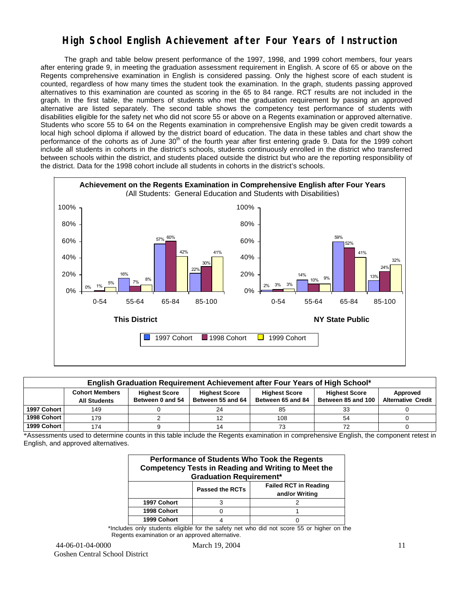## **High School English Achievement after Four Years of Instruction**

 The graph and table below present performance of the 1997, 1998, and 1999 cohort members, four years after entering grade 9, in meeting the graduation assessment requirement in English. A score of 65 or above on the Regents comprehensive examination in English is considered passing. Only the highest score of each student is counted, regardless of how many times the student took the examination. In the graph, students passing approved alternatives to this examination are counted as scoring in the 65 to 84 range. RCT results are not included in the graph. In the first table, the numbers of students who met the graduation requirement by passing an approved alternative are listed separately. The second table shows the competency test performance of students with disabilities eligible for the safety net who did not score 55 or above on a Regents examination or approved alternative. Students who score 55 to 64 on the Regents examination in comprehensive English may be given credit towards a local high school diploma if allowed by the district board of education. The data in these tables and chart show the performance of the cohorts as of June  $30<sup>th</sup>$  of the fourth year after first entering grade 9. Data for the 1999 cohort include all students in cohorts in the district's schools, students continuously enrolled in the district who transferred between schools within the district, and students placed outside the district but who are the reporting responsibility of the district. Data for the 1998 cohort include all students in cohorts in the district's schools.



|             | English Graduation Requirement Achievement after Four Years of High School*                                                                                                                                                                                               |  |    |     |    |  |  |  |  |  |  |  |
|-------------|---------------------------------------------------------------------------------------------------------------------------------------------------------------------------------------------------------------------------------------------------------------------------|--|----|-----|----|--|--|--|--|--|--|--|
|             | <b>Cohort Members</b><br>Approved<br><b>Highest Score</b><br><b>Highest Score</b><br><b>Highest Score</b><br><b>Highest Score</b><br>Between 55 and 64<br><b>Alternative Credit</b><br>Between 85 and 100<br>Between 0 and 54<br>Between 65 and 84<br><b>All Students</b> |  |    |     |    |  |  |  |  |  |  |  |
| 1997 Cohort | 149                                                                                                                                                                                                                                                                       |  | 24 | 85  | 33 |  |  |  |  |  |  |  |
| 1998 Cohort | 179                                                                                                                                                                                                                                                                       |  |    | 108 | 54 |  |  |  |  |  |  |  |
| 1999 Cohort | 174                                                                                                                                                                                                                                                                       |  |    |     |    |  |  |  |  |  |  |  |

\*Assessments used to determine counts in this table include the Regents examination in comprehensive English, the component retest in English, and approved alternatives.

| Performance of Students Who Took the Regents<br><b>Competency Tests in Reading and Writing to Meet the</b><br><b>Graduation Requirement*</b> |  |  |  |  |  |  |  |  |
|----------------------------------------------------------------------------------------------------------------------------------------------|--|--|--|--|--|--|--|--|
| <b>Failed RCT in Reading</b><br><b>Passed the RCTs</b><br>and/or Writing                                                                     |  |  |  |  |  |  |  |  |
| 1997 Cohort                                                                                                                                  |  |  |  |  |  |  |  |  |
| 1998 Cohort                                                                                                                                  |  |  |  |  |  |  |  |  |
| 1999 Cohort                                                                                                                                  |  |  |  |  |  |  |  |  |

\*Includes only students eligible for the safety net who did not score 55 or higher on the Regents examination or an approved alternative.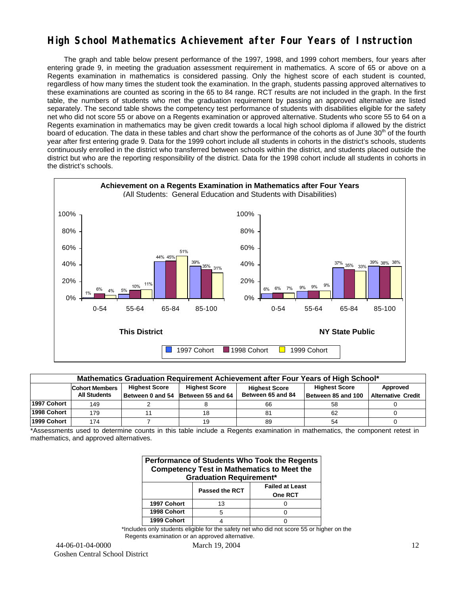## **High School Mathematics Achievement after Four Years of Instruction**

 The graph and table below present performance of the 1997, 1998, and 1999 cohort members, four years after entering grade 9, in meeting the graduation assessment requirement in mathematics. A score of 65 or above on a Regents examination in mathematics is considered passing. Only the highest score of each student is counted, regardless of how many times the student took the examination. In the graph, students passing approved alternatives to these examinations are counted as scoring in the 65 to 84 range. RCT results are not included in the graph. In the first table, the numbers of students who met the graduation requirement by passing an approved alternative are listed separately. The second table shows the competency test performance of students with disabilities eligible for the safety net who did not score 55 or above on a Regents examination or approved alternative. Students who score 55 to 64 on a Regents examination in mathematics may be given credit towards a local high school diploma if allowed by the district board of education. The data in these tables and chart show the performance of the cohorts as of June 30<sup>th</sup> of the fourth year after first entering grade 9. Data for the 1999 cohort include all students in cohorts in the district's schools, students continuously enrolled in the district who transferred between schools within the district, and students placed outside the district but who are the reporting responsibility of the district. Data for the 1998 cohort include all students in cohorts in the district's schools.



| Mathematics Graduation Requirement Achievement after Four Years of High School* |                                                                                                                                   |  |                                    |                   |                    |                           |  |  |  |  |  |
|---------------------------------------------------------------------------------|-----------------------------------------------------------------------------------------------------------------------------------|--|------------------------------------|-------------------|--------------------|---------------------------|--|--|--|--|--|
|                                                                                 | <b>Highest Score</b><br><b>Highest Score</b><br><b>Highest Score</b><br>Approved<br><b>Cohort Members</b><br><b>Highest Score</b> |  |                                    |                   |                    |                           |  |  |  |  |  |
|                                                                                 | <b>All Students</b>                                                                                                               |  | Between 0 and 54 Between 55 and 64 | Between 65 and 84 | Between 85 and 100 | <b>Alternative Credit</b> |  |  |  |  |  |
| 1997 Cohort                                                                     | 149                                                                                                                               |  |                                    | 66                | 58                 |                           |  |  |  |  |  |
| 1998 Cohort                                                                     | 179                                                                                                                               |  | 18                                 | 81                | 62                 |                           |  |  |  |  |  |
| 1999 Cohort                                                                     | 174                                                                                                                               |  | 19                                 | 89                | 54                 |                           |  |  |  |  |  |

\*Assessments used to determine counts in this table include a Regents examination in mathematics, the component retest in mathematics, and approved alternatives.

| Performance of Students Who Took the Regents<br><b>Competency Test in Mathematics to Meet the</b><br><b>Graduation Requirement*</b> |    |  |  |  |  |  |  |  |
|-------------------------------------------------------------------------------------------------------------------------------------|----|--|--|--|--|--|--|--|
| <b>Failed at Least</b><br><b>Passed the RCT</b><br>One RCT                                                                          |    |  |  |  |  |  |  |  |
| 1997 Cohort                                                                                                                         | 13 |  |  |  |  |  |  |  |
| 1998 Cohort                                                                                                                         | 5  |  |  |  |  |  |  |  |
| 1999 Cohort                                                                                                                         |    |  |  |  |  |  |  |  |

\*Includes only students eligible for the safety net who did not score 55 or higher on the Regents examination or an approved alternative.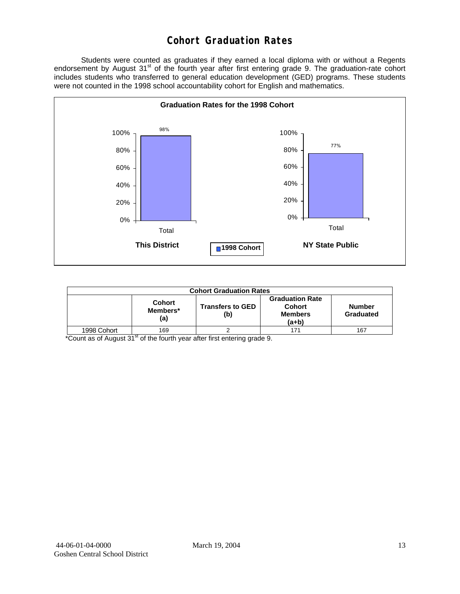## **Cohort Graduation Rates**

 Students were counted as graduates if they earned a local diploma with or without a Regents endorsement by August 31<sup>st</sup> of the fourth year after first entering grade 9. The graduation-rate cohort includes students who transferred to general education development (GED) programs. These students were not counted in the 1998 school accountability cohort for English and mathematics.



| <b>Cohort Graduation Rates</b> |                                  |                                |                                                                    |                            |  |  |  |  |  |
|--------------------------------|----------------------------------|--------------------------------|--------------------------------------------------------------------|----------------------------|--|--|--|--|--|
|                                | <b>Cohort</b><br>Members*<br>(a) | <b>Transfers to GED</b><br>(b) | <b>Graduation Rate</b><br><b>Cohort</b><br><b>Members</b><br>(a+b) | <b>Number</b><br>Graduated |  |  |  |  |  |
| 1998 Cohort                    | 169                              |                                | 171                                                                | 167                        |  |  |  |  |  |

\*Count as of August 31<sup>st</sup> of the fourth year after first entering grade 9.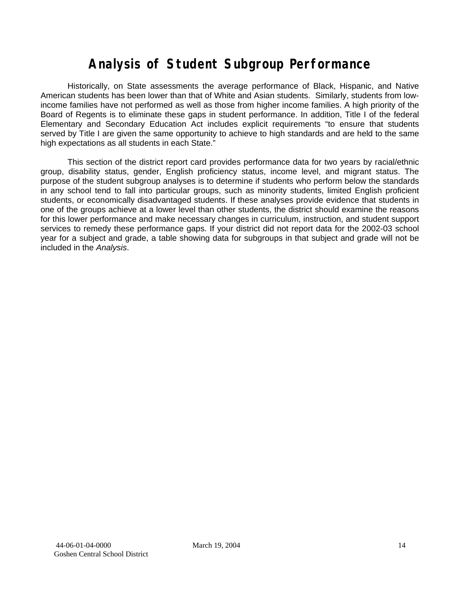# **Analysis of Student Subgroup Performance**

Historically, on State assessments the average performance of Black, Hispanic, and Native American students has been lower than that of White and Asian students. Similarly, students from lowincome families have not performed as well as those from higher income families. A high priority of the Board of Regents is to eliminate these gaps in student performance. In addition, Title I of the federal Elementary and Secondary Education Act includes explicit requirements "to ensure that students served by Title I are given the same opportunity to achieve to high standards and are held to the same high expectations as all students in each State."

This section of the district report card provides performance data for two years by racial/ethnic group, disability status, gender, English proficiency status, income level, and migrant status. The purpose of the student subgroup analyses is to determine if students who perform below the standards in any school tend to fall into particular groups, such as minority students, limited English proficient students, or economically disadvantaged students. If these analyses provide evidence that students in one of the groups achieve at a lower level than other students, the district should examine the reasons for this lower performance and make necessary changes in curriculum, instruction, and student support services to remedy these performance gaps. If your district did not report data for the 2002-03 school year for a subject and grade, a table showing data for subgroups in that subject and grade will not be included in the *Analysis*.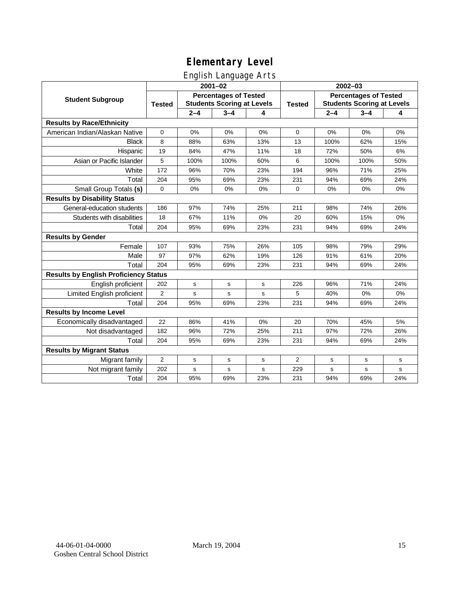## English Language Arts

|                                              |                                                                                    |             | ັ<br>$2001 - 02$ |               |                                                                   | 2002-03 |         |       |  |
|----------------------------------------------|------------------------------------------------------------------------------------|-------------|------------------|---------------|-------------------------------------------------------------------|---------|---------|-------|--|
| <b>Student Subgroup</b>                      | <b>Percentages of Tested</b><br><b>Students Scoring at Levels</b><br><b>Tested</b> |             |                  | <b>Tested</b> | <b>Percentages of Tested</b><br><b>Students Scoring at Levels</b> |         |         |       |  |
|                                              |                                                                                    | $2 - 4$     | $3 - 4$          | 4             |                                                                   | $2 - 4$ | $3 - 4$ | 4     |  |
| <b>Results by Race/Ethnicity</b>             |                                                                                    |             |                  |               |                                                                   |         |         |       |  |
| American Indian/Alaskan Native               | $\mathbf 0$                                                                        | 0%          | 0%               | 0%            | $\mathbf 0$                                                       | 0%      | 0%      | 0%    |  |
| <b>Black</b>                                 | 8                                                                                  | 88%         | 63%              | 13%           | 13                                                                | 100%    | 62%     | 15%   |  |
| Hispanic                                     | 19                                                                                 | 84%         | 47%              | 11%           | 18                                                                | 72%     | 50%     | 6%    |  |
| Asian or Pacific Islander                    | 5                                                                                  | 100%        | 100%             | 60%           | 6                                                                 | 100%    | 100%    | 50%   |  |
| White                                        | 172                                                                                | 96%         | 70%              | 23%           | 194                                                               | 96%     | 71%     | 25%   |  |
| Total                                        | 204                                                                                | 95%         | 69%              | 23%           | 231                                                               | 94%     | 69%     | 24%   |  |
| Small Group Totals (s)                       | $\Omega$                                                                           | 0%          | 0%               | 0%            | $\Omega$                                                          | 0%      | 0%      | 0%    |  |
| <b>Results by Disability Status</b>          |                                                                                    |             |                  |               |                                                                   |         |         |       |  |
| General-education students                   | 186                                                                                | 97%         | 74%              | 25%           | 211                                                               | 98%     | 74%     | 26%   |  |
| Students with disabilities                   | 18                                                                                 | 67%         | 11%              | 0%            | 20                                                                | 60%     | 15%     | $0\%$ |  |
| Total                                        | 204                                                                                | 95%         | 69%              | 23%           | 231                                                               | 94%     | 69%     | 24%   |  |
| <b>Results by Gender</b>                     |                                                                                    |             |                  |               |                                                                   |         |         |       |  |
| Female                                       | 107                                                                                | 93%         | 75%              | 26%           | 105                                                               | 98%     | 79%     | 29%   |  |
| Male                                         | 97                                                                                 | 97%         | 62%              | 19%           | 126                                                               | 91%     | 61%     | 20%   |  |
| Total                                        | 204                                                                                | 95%         | 69%              | 23%           | 231                                                               | 94%     | 69%     | 24%   |  |
| <b>Results by English Proficiency Status</b> |                                                                                    |             |                  |               |                                                                   |         |         |       |  |
| English proficient                           | 202                                                                                | $\mathbf s$ | s                | s             | 226                                                               | 96%     | 71%     | 24%   |  |
| Limited English proficient                   | 2                                                                                  | s           | $\mathbf s$      | s             | 5                                                                 | 40%     | 0%      | 0%    |  |
| Total                                        | 204                                                                                | 95%         | 69%              | 23%           | 231                                                               | 94%     | 69%     | 24%   |  |
| <b>Results by Income Level</b>               |                                                                                    |             |                  |               |                                                                   |         |         |       |  |
| Economically disadvantaged                   | 22                                                                                 | 86%         | 41%              | 0%            | 20                                                                | 70%     | 45%     | 5%    |  |
| Not disadvantaged                            | 182                                                                                | 96%         | 72%              | 25%           | 211                                                               | 97%     | 72%     | 26%   |  |
| Total                                        | 204                                                                                | 95%         | 69%              | 23%           | 231                                                               | 94%     | 69%     | 24%   |  |
| <b>Results by Migrant Status</b>             |                                                                                    |             |                  |               |                                                                   |         |         |       |  |
| Migrant family                               | $\overline{2}$                                                                     | s           | s                | s             | $\overline{2}$                                                    | s       | s       | s     |  |
| Not migrant family                           | 202                                                                                | s           | s                | s             | 229                                                               | s       | s       | s     |  |
| Total                                        | 204                                                                                | 95%         | 69%              | 23%           | 231                                                               | 94%     | 69%     | 24%   |  |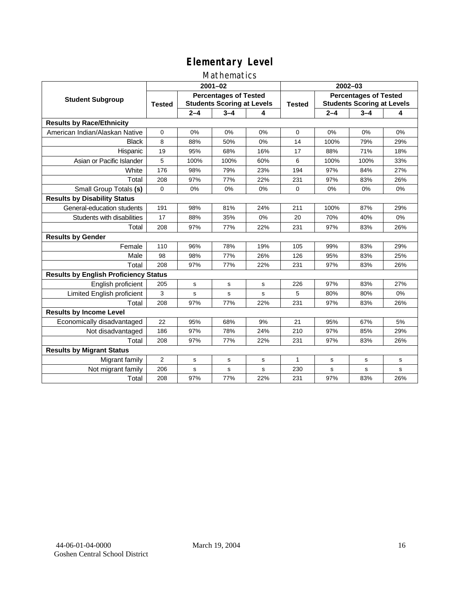#### Mathematics

|                                              | $2001 - 02$                                                                        |             |             |               | $2002 - 03$                                                       |         |         |     |
|----------------------------------------------|------------------------------------------------------------------------------------|-------------|-------------|---------------|-------------------------------------------------------------------|---------|---------|-----|
| <b>Student Subgroup</b>                      | <b>Percentages of Tested</b><br><b>Students Scoring at Levels</b><br><b>Tested</b> |             |             | <b>Tested</b> | <b>Percentages of Tested</b><br><b>Students Scoring at Levels</b> |         |         |     |
|                                              |                                                                                    | $2 - 4$     | $3 - 4$     | 4             |                                                                   | $2 - 4$ | $3 - 4$ | 4   |
| <b>Results by Race/Ethnicity</b>             |                                                                                    |             |             |               |                                                                   |         |         |     |
| American Indian/Alaskan Native               | $\Omega$                                                                           | 0%          | 0%          | 0%            | $\Omega$                                                          | 0%      | 0%      | 0%  |
| <b>Black</b>                                 | 8                                                                                  | 88%         | 50%         | 0%            | 14                                                                | 100%    | 79%     | 29% |
| Hispanic                                     | 19                                                                                 | 95%         | 68%         | 16%           | 17                                                                | 88%     | 71%     | 18% |
| Asian or Pacific Islander                    | 5                                                                                  | 100%        | 100%        | 60%           | 6                                                                 | 100%    | 100%    | 33% |
| White                                        | 176                                                                                | 98%         | 79%         | 23%           | 194                                                               | 97%     | 84%     | 27% |
| Total                                        | 208                                                                                | 97%         | 77%         | 22%           | 231                                                               | 97%     | 83%     | 26% |
| Small Group Totals (s)                       | 0                                                                                  | 0%          | 0%          | 0%            | $\Omega$                                                          | 0%      | 0%      | 0%  |
| <b>Results by Disability Status</b>          |                                                                                    |             |             |               |                                                                   |         |         |     |
| General-education students                   | 191                                                                                | 98%         | 81%         | 24%           | 211                                                               | 100%    | 87%     | 29% |
| Students with disabilities                   | 17                                                                                 | 88%         | 35%         | 0%            | 20                                                                | 70%     | 40%     | 0%  |
| Total                                        | 208                                                                                | 97%         | 77%         | 22%           | 231                                                               | 97%     | 83%     | 26% |
| <b>Results by Gender</b>                     |                                                                                    |             |             |               |                                                                   |         |         |     |
| Female                                       | 110                                                                                | 96%         | 78%         | 19%           | 105                                                               | 99%     | 83%     | 29% |
| Male                                         | 98                                                                                 | 98%         | 77%         | 26%           | 126                                                               | 95%     | 83%     | 25% |
| Total                                        | 208                                                                                | 97%         | 77%         | 22%           | 231                                                               | 97%     | 83%     | 26% |
| <b>Results by English Proficiency Status</b> |                                                                                    |             |             |               |                                                                   |         |         |     |
| English proficient                           | 205                                                                                | $\mathbf s$ | s           | s             | 226                                                               | 97%     | 83%     | 27% |
| Limited English proficient                   | 3                                                                                  | s           | s           | s             | 5                                                                 | 80%     | 80%     | 0%  |
| Total                                        | 208                                                                                | 97%         | 77%         | 22%           | 231                                                               | 97%     | 83%     | 26% |
| <b>Results by Income Level</b>               |                                                                                    |             |             |               |                                                                   |         |         |     |
| Economically disadvantaged                   | 22                                                                                 | 95%         | 68%         | 9%            | 21                                                                | 95%     | 67%     | 5%  |
| Not disadvantaged                            | 186                                                                                | 97%         | 78%         | 24%           | 210                                                               | 97%     | 85%     | 29% |
| Total                                        | 208                                                                                | 97%         | 77%         | 22%           | 231                                                               | 97%     | 83%     | 26% |
| <b>Results by Migrant Status</b>             |                                                                                    |             |             |               |                                                                   |         |         |     |
| Migrant family                               | $\overline{2}$                                                                     | s           | s           | s             | 1                                                                 | s       | s       | s   |
| Not migrant family                           | 206                                                                                | s           | $\mathbf s$ | s             | 230                                                               | s       | s       | s   |
| Total                                        | 208                                                                                | 97%         | 77%         | 22%           | 231                                                               | 97%     | 83%     | 26% |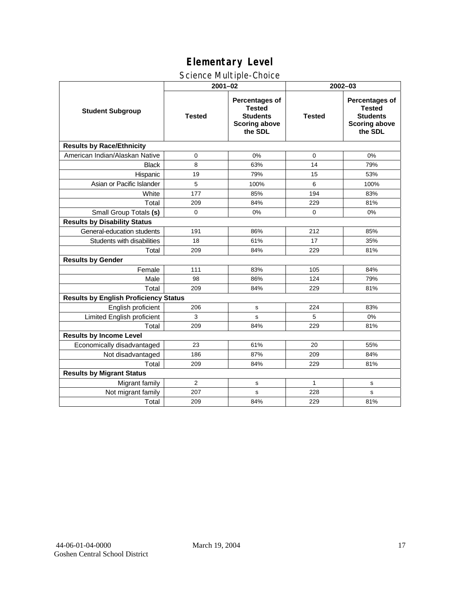#### Science Multiple-Choice

|                                              | $2001 - 02$   |                                                                                              | 2002-03       |                                                                                              |  |  |
|----------------------------------------------|---------------|----------------------------------------------------------------------------------------------|---------------|----------------------------------------------------------------------------------------------|--|--|
| <b>Student Subgroup</b>                      | <b>Tested</b> | <b>Percentages of</b><br><b>Tested</b><br><b>Students</b><br><b>Scoring above</b><br>the SDL | <b>Tested</b> | <b>Percentages of</b><br><b>Tested</b><br><b>Students</b><br><b>Scoring above</b><br>the SDL |  |  |
| <b>Results by Race/Ethnicity</b>             |               |                                                                                              |               |                                                                                              |  |  |
| American Indian/Alaskan Native               | 0             | 0%                                                                                           | 0             | 0%                                                                                           |  |  |
| <b>Black</b>                                 | 8             | 63%                                                                                          | 14            | 79%                                                                                          |  |  |
| Hispanic                                     | 19            | 79%                                                                                          | 15            | 53%                                                                                          |  |  |
| Asian or Pacific Islander                    | 5             | 100%                                                                                         | 6             | 100%                                                                                         |  |  |
| White                                        | 177           | 85%                                                                                          | 194           | 83%                                                                                          |  |  |
| Total                                        | 209           | 84%                                                                                          | 229           | 81%                                                                                          |  |  |
| Small Group Totals (s)                       | $\mathbf 0$   | 0%                                                                                           | $\mathbf 0$   | 0%                                                                                           |  |  |
| <b>Results by Disability Status</b>          |               |                                                                                              |               |                                                                                              |  |  |
| General-education students                   | 191           | 86%                                                                                          | 212           | 85%                                                                                          |  |  |
| Students with disabilities                   | 18            | 61%                                                                                          | 17            | 35%                                                                                          |  |  |
| Total                                        | 209           | 84%                                                                                          | 229           | 81%                                                                                          |  |  |
| <b>Results by Gender</b>                     |               |                                                                                              |               |                                                                                              |  |  |
| Female                                       | 111           | 83%                                                                                          | 105           | 84%                                                                                          |  |  |
| Male                                         | 98            | 86%                                                                                          | 124           | 79%                                                                                          |  |  |
| Total                                        | 209           | 84%                                                                                          | 229           | 81%                                                                                          |  |  |
| <b>Results by English Proficiency Status</b> |               |                                                                                              |               |                                                                                              |  |  |
| English proficient                           | 206           | s                                                                                            | 224           | 83%                                                                                          |  |  |
| Limited English proficient                   | 3             | s                                                                                            | 5             | 0%                                                                                           |  |  |
| Total                                        | 209           | 84%                                                                                          | 229           | 81%                                                                                          |  |  |
| <b>Results by Income Level</b>               |               |                                                                                              |               |                                                                                              |  |  |
| Economically disadvantaged                   | 23            | 61%                                                                                          | 20            | 55%                                                                                          |  |  |
| Not disadvantaged                            | 186           | 87%                                                                                          | 209           | 84%                                                                                          |  |  |
| Total                                        | 209           | 84%                                                                                          | 229           | 81%                                                                                          |  |  |
| <b>Results by Migrant Status</b>             |               |                                                                                              |               |                                                                                              |  |  |
| Migrant family                               | 2             | s                                                                                            | $\mathbf{1}$  | ${\tt s}$                                                                                    |  |  |
| Not migrant family                           | 207           | s                                                                                            | 228           | s                                                                                            |  |  |
| Total                                        | 209           | 84%                                                                                          | 229           | 81%                                                                                          |  |  |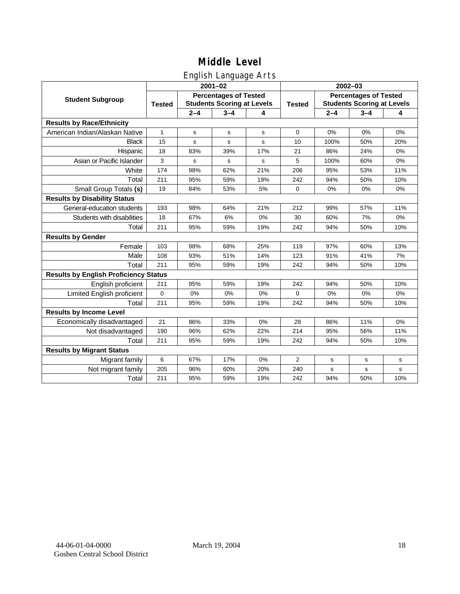## English Language Arts

|                                              | $2001 - 02$                                                                        |             |         |               | 2002-03                                                           |         |         |     |
|----------------------------------------------|------------------------------------------------------------------------------------|-------------|---------|---------------|-------------------------------------------------------------------|---------|---------|-----|
| <b>Student Subgroup</b>                      | <b>Percentages of Tested</b><br><b>Students Scoring at Levels</b><br><b>Tested</b> |             |         | <b>Tested</b> | <b>Percentages of Tested</b><br><b>Students Scoring at Levels</b> |         |         |     |
|                                              |                                                                                    | $2 - 4$     | $3 - 4$ | 4             |                                                                   | $2 - 4$ | $3 - 4$ | 4   |
| <b>Results by Race/Ethnicity</b>             |                                                                                    |             |         |               |                                                                   |         |         |     |
| American Indian/Alaskan Native               | $\mathbf{1}$                                                                       | $\mathbf s$ | s       | s             | $\mathbf 0$                                                       | 0%      | 0%      | 0%  |
| <b>Black</b>                                 | 15                                                                                 | s           | s       | s             | 10                                                                | 100%    | 50%     | 20% |
| Hispanic                                     | 18                                                                                 | 83%         | 39%     | 17%           | 21                                                                | 86%     | 24%     | 0%  |
| Asian or Pacific Islander                    | 3                                                                                  | s           | s       | s             | 5                                                                 | 100%    | 60%     | 0%  |
| White                                        | 174                                                                                | 98%         | 62%     | 21%           | 206                                                               | 95%     | 53%     | 11% |
| Total                                        | 211                                                                                | 95%         | 59%     | 19%           | 242                                                               | 94%     | 50%     | 10% |
| Small Group Totals (s)                       | 19                                                                                 | 84%         | 53%     | 5%            | $\Omega$                                                          | 0%      | 0%      | 0%  |
| <b>Results by Disability Status</b>          |                                                                                    |             |         |               |                                                                   |         |         |     |
| General-education students                   | 193                                                                                | 98%         | 64%     | 21%           | 212                                                               | 99%     | 57%     | 11% |
| Students with disabilities                   | 18                                                                                 | 67%         | 6%      | 0%            | 30                                                                | 60%     | 7%      | 0%  |
| Total                                        | 211                                                                                | 95%         | 59%     | 19%           | 242                                                               | 94%     | 50%     | 10% |
| <b>Results by Gender</b>                     |                                                                                    |             |         |               |                                                                   |         |         |     |
| Female                                       | 103                                                                                | 98%         | 68%     | 25%           | 119                                                               | 97%     | 60%     | 13% |
| Male                                         | 108                                                                                | 93%         | 51%     | 14%           | 123                                                               | 91%     | 41%     | 7%  |
| Total                                        | 211                                                                                | 95%         | 59%     | 19%           | 242                                                               | 94%     | 50%     | 10% |
| <b>Results by English Proficiency Status</b> |                                                                                    |             |         |               |                                                                   |         |         |     |
| English proficient                           | 211                                                                                | 95%         | 59%     | 19%           | 242                                                               | 94%     | 50%     | 10% |
| Limited English proficient                   | $\mathbf 0$                                                                        | 0%          | 0%      | 0%            | $\Omega$                                                          | 0%      | 0%      | 0%  |
| Total                                        | 211                                                                                | 95%         | 59%     | 19%           | 242                                                               | 94%     | 50%     | 10% |
| <b>Results by Income Level</b>               |                                                                                    |             |         |               |                                                                   |         |         |     |
| Economically disadvantaged                   | 21                                                                                 | 86%         | 33%     | 0%            | 28                                                                | 86%     | 11%     | 0%  |
| Not disadvantaged                            | 190                                                                                | 96%         | 62%     | 22%           | 214                                                               | 95%     | 56%     | 11% |
| Total                                        | 211                                                                                | 95%         | 59%     | 19%           | 242                                                               | 94%     | 50%     | 10% |
| <b>Results by Migrant Status</b>             |                                                                                    |             |         |               |                                                                   |         |         |     |
| Migrant family                               | 6                                                                                  | 67%         | 17%     | 0%            | 2                                                                 | s       | s       | s   |
| Not migrant family                           | 205                                                                                | 96%         | 60%     | 20%           | 240                                                               | s       | s       | s   |
| Total                                        | 211                                                                                | 95%         | 59%     | 19%           | 242                                                               | 94%     | 50%     | 10% |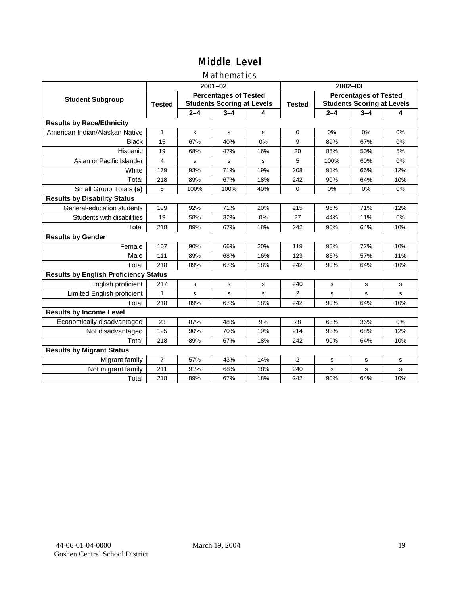#### Mathematics

|                                              |                |                                                                   | $2001 - 02$ |     | $2002 - 03$    |                                                                   |             |           |
|----------------------------------------------|----------------|-------------------------------------------------------------------|-------------|-----|----------------|-------------------------------------------------------------------|-------------|-----------|
| <b>Student Subgroup</b>                      | <b>Tested</b>  | <b>Percentages of Tested</b><br><b>Students Scoring at Levels</b> |             |     | <b>Tested</b>  | <b>Percentages of Tested</b><br><b>Students Scoring at Levels</b> |             |           |
|                                              |                | $2 - 4$                                                           | $3 - 4$     | 4   |                | $2 - 4$                                                           | $3 - 4$     | 4         |
| <b>Results by Race/Ethnicity</b>             |                |                                                                   |             |     |                |                                                                   |             |           |
| American Indian/Alaskan Native               | 1              | s                                                                 | s           | s   | $\Omega$       | 0%                                                                | 0%          | 0%        |
| <b>Black</b>                                 | 15             | 67%                                                               | 40%         | 0%  | 9              | 89%                                                               | 67%         | 0%        |
| Hispanic                                     | 19             | 68%                                                               | 47%         | 16% | 20             | 85%                                                               | 50%         | 5%        |
| Asian or Pacific Islander                    | 4              | s                                                                 | s           | s   | 5              | 100%                                                              | 60%         | 0%        |
| White                                        | 179            | 93%                                                               | 71%         | 19% | 208            | 91%                                                               | 66%         | 12%       |
| Total                                        | 218            | 89%                                                               | 67%         | 18% | 242            | 90%                                                               | 64%         | 10%       |
| Small Group Totals (s)                       | 5              | 100%                                                              | 100%        | 40% | $\Omega$       | 0%                                                                | 0%          | 0%        |
| <b>Results by Disability Status</b>          |                |                                                                   |             |     |                |                                                                   |             |           |
| General-education students                   | 199            | 92%                                                               | 71%         | 20% | 215            | 96%                                                               | 71%         | 12%       |
| Students with disabilities                   | 19             | 58%                                                               | 32%         | 0%  | 27             | 44%                                                               | 11%         | 0%        |
| Total                                        | 218            | 89%                                                               | 67%         | 18% | 242            | 90%                                                               | 64%         | 10%       |
| <b>Results by Gender</b>                     |                |                                                                   |             |     |                |                                                                   |             |           |
| Female                                       | 107            | 90%                                                               | 66%         | 20% | 119            | 95%                                                               | 72%         | 10%       |
| Male                                         | 111            | 89%                                                               | 68%         | 16% | 123            | 86%                                                               | 57%         | 11%       |
| Total                                        | 218            | 89%                                                               | 67%         | 18% | 242            | 90%                                                               | 64%         | 10%       |
| <b>Results by English Proficiency Status</b> |                |                                                                   |             |     |                |                                                                   |             |           |
| English proficient                           | 217            | $\mathbf s$                                                       | s           | s   | 240            | s                                                                 | s           | s         |
| Limited English proficient                   | 1              | s                                                                 | s           | s   | 2              | s                                                                 | $\mathbf s$ | s         |
| Total                                        | 218            | 89%                                                               | 67%         | 18% | 242            | 90%                                                               | 64%         | 10%       |
| <b>Results by Income Level</b>               |                |                                                                   |             |     |                |                                                                   |             |           |
| Economically disadvantaged                   | 23             | 87%                                                               | 48%         | 9%  | 28             | 68%                                                               | 36%         | 0%        |
| Not disadvantaged                            | 195            | 90%                                                               | 70%         | 19% | 214            | 93%                                                               | 68%         | 12%       |
| Total                                        | 218            | 89%                                                               | 67%         | 18% | 242            | 90%                                                               | 64%         | 10%       |
| <b>Results by Migrant Status</b>             |                |                                                                   |             |     |                |                                                                   |             |           |
| Migrant family                               | $\overline{7}$ | 57%                                                               | 43%         | 14% | $\overline{2}$ | s                                                                 | s           | ${\tt s}$ |
| Not migrant family                           | 211            | 91%                                                               | 68%         | 18% | 240            | s                                                                 | s           | s         |
| Total                                        | 218            | 89%                                                               | 67%         | 18% | 242            | 90%                                                               | 64%         | 10%       |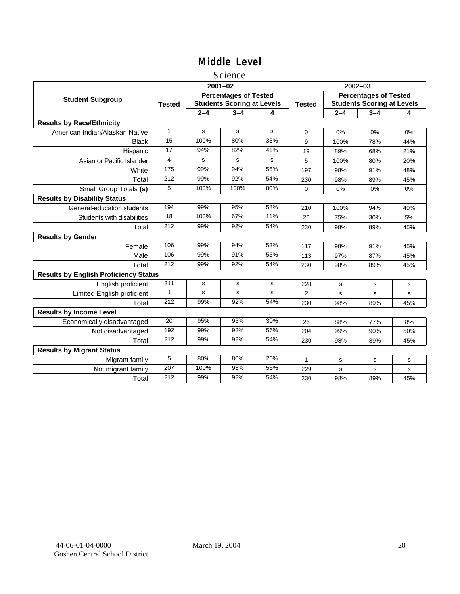#### **Science**

|                                              | $2001 - 02$     |         |                                                                   |           | $2002 - 03$    |                                                                   |         |     |  |
|----------------------------------------------|-----------------|---------|-------------------------------------------------------------------|-----------|----------------|-------------------------------------------------------------------|---------|-----|--|
| <b>Student Subgroup</b>                      | <b>Tested</b>   |         | <b>Percentages of Tested</b><br><b>Students Scoring at Levels</b> |           | <b>Tested</b>  | <b>Percentages of Tested</b><br><b>Students Scoring at Levels</b> |         |     |  |
|                                              |                 | $2 - 4$ | $3 - 4$                                                           | 4         |                | $2 - 4$                                                           | $3 - 4$ | 4   |  |
| <b>Results by Race/Ethnicity</b>             |                 |         |                                                                   |           |                |                                                                   |         |     |  |
| American Indian/Alaskan Native               | 1               | s       | s                                                                 | s         | $\mathbf 0$    | 0%                                                                | 0%      | 0%  |  |
| <b>Black</b>                                 | 15              | 100%    | 80%                                                               | 33%       | 9              | 100%                                                              | 78%     | 44% |  |
| Hispanic                                     | 17              | 94%     | 82%                                                               | 41%       | 19             | 89%                                                               | 68%     | 21% |  |
| Asian or Pacific Islander                    | 4               | s       | s                                                                 | s         | 5              | 100%                                                              | 80%     | 20% |  |
| White                                        | $\frac{175}{2}$ | 99%     | 94%                                                               | 56%       | 197            | 98%                                                               | 91%     | 48% |  |
| Total                                        | 212             | 99%     | 92%                                                               | 54%       | 230            | 98%                                                               | 89%     | 45% |  |
| Small Group Totals (s)                       | 5               | 100%    | 100%                                                              | 80%       | 0              | 0%                                                                | 0%      | 0%  |  |
| <b>Results by Disability Status</b>          |                 |         |                                                                   |           |                |                                                                   |         |     |  |
| General-education students                   | 194             | 99%     | 95%                                                               | 58%       | 210            | 100%                                                              | 94%     | 49% |  |
| Students with disabilities                   | 18              | 100%    | 67%                                                               | 11%       | 20             | 75%                                                               | 30%     | 5%  |  |
| Total                                        | 212             | 99%     | 92%                                                               | 54%       | 230            | 98%                                                               | 89%     | 45% |  |
| <b>Results by Gender</b>                     |                 |         |                                                                   |           |                |                                                                   |         |     |  |
| Female                                       | 106             | 99%     | 94%                                                               | 53%       | 117            | 98%                                                               | 91%     | 45% |  |
| Male                                         | 106             | 99%     | 91%                                                               | 55%       | 113            | 97%                                                               | 87%     | 45% |  |
| Total                                        | 212             | 99%     | 92%                                                               | 54%       | 230            | 98%                                                               | 89%     | 45% |  |
| <b>Results by English Proficiency Status</b> |                 |         |                                                                   |           |                |                                                                   |         |     |  |
| English proficient                           | 211             | s       | $\mathbf s$                                                       | ${\tt s}$ | 228            | $\mathbf s$                                                       | s       | s   |  |
| Limited English proficient                   | $\mathbf{1}$    | s       | s                                                                 | s         | $\overline{2}$ | s                                                                 | s       | s   |  |
| Total                                        | 212             | 99%     | 92%                                                               | 54%       | 230            | 98%                                                               | 89%     | 45% |  |
| <b>Results by Income Level</b>               |                 |         |                                                                   |           |                |                                                                   |         |     |  |
| Economically disadvantaged                   | 20              | 95%     | 95%                                                               | 30%       | 26             | 88%                                                               | 77%     | 8%  |  |
| Not disadvantaged                            | 192             | 99%     | 92%                                                               | 56%       | 204            | 99%                                                               | 90%     | 50% |  |
| Total                                        | 212             | 99%     | 92%                                                               | 54%       | 230            | 98%                                                               | 89%     | 45% |  |
| <b>Results by Migrant Status</b>             |                 |         |                                                                   |           |                |                                                                   |         |     |  |
| Migrant family                               | 5               | 80%     | 80%                                                               | 20%       | 1              | s                                                                 | s       | s   |  |
| Not migrant family                           | 207             | 100%    | 93%                                                               | 55%       | 229            | s                                                                 | s       | s   |  |
| Total                                        | 212             | 99%     | 92%                                                               | 54%       | 230            | 98%                                                               | 89%     | 45% |  |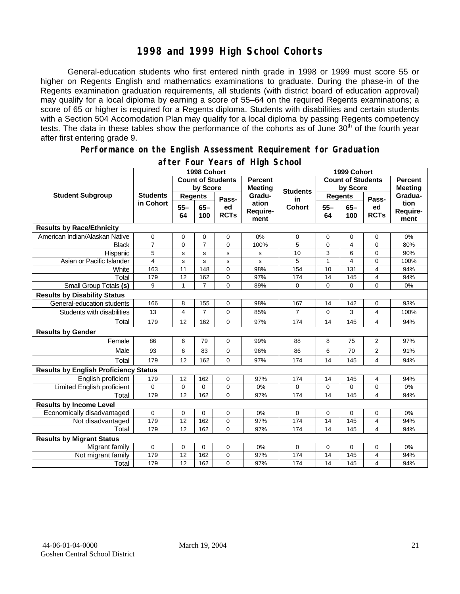#### **1998 and 1999 High School Cohorts**

General-education students who first entered ninth grade in 1998 or 1999 must score 55 or higher on Regents English and mathematics examinations to graduate. During the phase-in of the Regents examination graduation requirements, all students (with district board of education approval) may qualify for a local diploma by earning a score of 55–64 on the required Regents examinations; a score of 65 or higher is required for a Regents diploma. Students with disabilities and certain students with a Section 504 Accomodation Plan may qualify for a local diploma by passing Regents competency tests. The data in these tables show the performance of the cohorts as of June 30<sup>th</sup> of the fourth year after first entering grade 9.

#### **Performance on the English Assessment Requirement for Graduation**

|                                              | 1998 Cohort                  |                          |                |                                  |                           | 1999 Cohort              |                |                |                                  |                          |
|----------------------------------------------|------------------------------|--------------------------|----------------|----------------------------------|---------------------------|--------------------------|----------------|----------------|----------------------------------|--------------------------|
| <b>Student Subgroup</b>                      |                              | <b>Count of Students</b> |                | <b>Percent</b><br><b>Meeting</b> |                           | <b>Count of Students</b> |                |                | <b>Percent</b><br><b>Meeting</b> |                          |
|                                              | <b>Students</b><br>in Cohort | by Score                 |                |                                  | <b>Students</b>           | by Score                 |                |                |                                  |                          |
|                                              |                              | <b>Regents</b>           |                | Pass-                            | Gradu-                    | in                       | <b>Regents</b> |                | Pass-                            | Gradua-                  |
|                                              |                              | $55 -$<br>64             | $65 -$<br>100  | ed<br><b>RCTs</b>                | ation<br>Require-<br>ment | Cohort                   | $55 -$<br>64   | $65 -$<br>100  | ed<br><b>RCTs</b>                | tion<br>Require-<br>ment |
| <b>Results by Race/Ethnicity</b>             |                              |                          |                |                                  |                           |                          |                |                |                                  |                          |
| American Indian/Alaskan Native               | 0                            | 0                        | 0              | $\mathbf 0$                      | 0%                        | 0                        | 0              | 0              | 0                                | 0%                       |
| <b>Black</b>                                 | $\overline{7}$               | 0                        | $\overline{7}$ | $\Omega$                         | 100%                      | 5                        | 0              | 4              | $\overline{0}$                   | 80%                      |
| Hispanic                                     | 5                            | s                        | s              | $\mathbf s$                      | s                         | 10                       | $\overline{3}$ | 6              | $\mathbf 0$                      | 90%                      |
| Asian or Pacific Islander                    | $\overline{4}$               | $\mathbf s$              | s              | s                                | s                         | 5                        | $\mathbf{1}$   | $\overline{4}$ | $\overline{0}$                   | 100%                     |
| White                                        | 163                          | 11                       | 148            | $\Omega$                         | 98%                       | 154                      | 10             | 131            | 4                                | 94%                      |
| Total                                        | 179                          | 12                       | 162            | 0                                | 97%                       | 174                      | 14             | 145            | 4                                | 94%                      |
| Small Group Totals (s)                       | 9                            | $\mathbf{1}$             | $\overline{7}$ | $\Omega$                         | 89%                       | 0                        | $\Omega$       | $\Omega$       | $\overline{0}$                   | 0%                       |
| <b>Results by Disability Status</b>          |                              |                          |                |                                  |                           |                          |                |                |                                  |                          |
| General-education students                   | 166                          | 8                        | 155            | 0                                | 98%                       | 167                      | 14             | 142            | 0                                | 93%                      |
| Students with disabilities                   | 13                           | 4                        | $\overline{7}$ | 0                                | 85%                       | $\overline{7}$           | $\Omega$       | 3              | 4                                | 100%                     |
| Total                                        | 179                          | 12                       | 162            | $\mathbf 0$                      | 97%                       | 174                      | 14             | 145            | 4                                | 94%                      |
| <b>Results by Gender</b>                     |                              |                          |                |                                  |                           |                          |                |                |                                  |                          |
| Female                                       | 86                           | 6                        | 79             | $\Omega$                         | 99%                       | 88                       | 8              | 75             | 2                                | 97%                      |
| Male                                         | 93                           | 6                        | 83             | 0                                | 96%                       | 86                       | 6              | 70             | 2                                | 91%                      |
| Total                                        | 179                          | 12                       | 162            | 0                                | 97%                       | 174                      | 14             | 145            | 4                                | 94%                      |
| <b>Results by English Proficiency Status</b> |                              |                          |                |                                  |                           |                          |                |                |                                  |                          |
| English proficient                           | 179                          | 12                       | 162            | $\mathbf 0$                      | 97%                       | 174                      | 14             | 145            | 4                                | 94%                      |
| Limited English proficient                   | $\mathbf 0$                  | 0                        | $\Omega$       | $\mathbf 0$                      | 0%                        | $\Omega$                 | $\mathbf 0$    | 0              | 0                                | 0%                       |
| Total                                        | 179                          | 12                       | 162            | $\Omega$                         | 97%                       | 174                      | 14             | 145            | 4                                | 94%                      |
| <b>Results by Income Level</b>               |                              |                          |                |                                  |                           |                          |                |                |                                  |                          |
| Economically disadvantaged                   | 0                            | 0                        | 0              | $\mathbf 0$                      | 0%                        | 0                        | $\mathbf 0$    | 0              | $\mathbf 0$                      | 0%                       |
| Not disadvantaged                            | 179                          | $\overline{12}$          | 162            | 0                                | 97%                       | 174                      | 14             | 145            | 4                                | 94%                      |
| Total                                        | 179                          | 12                       | 162            | $\Omega$                         | 97%                       | 174                      | 14             | 145            | 4                                | 94%                      |
| <b>Results by Migrant Status</b>             |                              |                          |                |                                  |                           |                          |                |                |                                  |                          |
| Migrant family                               | $\mathbf 0$                  | 0                        | 0              | $\mathbf 0$                      | 0%                        | 0                        | 0              | 0              | 0                                | 0%                       |
| Not migrant family                           | 179                          | 12                       | 162            | $\mathbf 0$                      | 97%                       | 174                      | 14             | 145            | 4                                | 94%                      |
| Total                                        | 179                          | 12                       | 162            | $\Omega$                         | 97%                       | 174                      | 14             | 145            | 4                                | 94%                      |

#### **after Four Years of High School**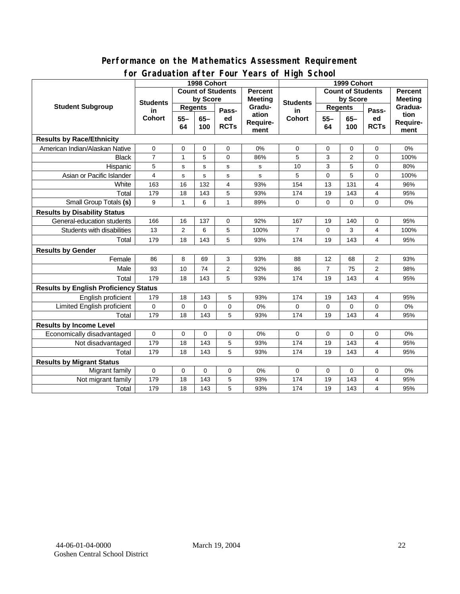#### **for Graduation after Four Years of High School 1998 Cohort 1999 Cohort Count of Students by Score Count of Students by Score** Student Subgroup Students **Busicial Students** Regents **Regents Student Students Regents in Cohort 55– 64 65– 100 Passed RCTs Percent Meeting Graduation Requirement Students in Cohort 55– 64 65– 100 Passed RCTs Percent Meeting Graduation Requirement Results by Race/Ethnicity**  American Indian/Alaskan Native 0 0 0 0 0% 0 0 0 0 0% Black | 7 | 1 | 5 | 0 | 86% | 5 | 3 | 2 | 0 | 100% Hispanic | 5 | s | s | s | s | 10 | 3 | 5 | 0 | 80% Asian or Pacific Islander | 4 | s | s | s | s | 5 | 0 | 5 | 0 | 100% White | 163 | 16 | 132 | 4 | 93% | 154 | 13 | 131 | 4 | 96% Total 179 18 143 5 93% 174 19 143 4 95% Small Group Totals **(s)** 9 1 6 1 89% 0 0 0 0 0 0 0% **Results by Disability Status**  General-education students | 166 | 16 | 137 | 0 | 92% | 167 | 19 | 140 | 0 | 95% Students with disabilities | 13 | 2 | 6 | 5 | 100% | 7 | 0 | 3 | 4 | 100% Total 179 18 143 5 93% 174 19 143 4 95% **Results by Gender**  Female | 86 | 8 | 69 | 3 | 93% | 88 | 12 | 68 | 2 | 93% Male 93 10 74 2 92% 86 7 75 2 98% Total 179 18 143 5 93% 174 19 143 4 95% **Results by English Proficiency Status**  English proficient | 179 | 18 | 143 | 5 | 93% | 174 | 19 | 143 | 4 | 95% Limited English proficient 0 0 0 0 0% 0 0 0 0 0% Total | 179 | 18 | 143 | 5 | 93% | 174 | 19 | 143 | 4 | 95% **Results by Income Level**  Economically disadvantaged 0 0 0 0 0% 0 0 0 0 0% Not disadvantaged 179 | 18 | 143 | 5 | 93% | 174 | 19 | 143 | 4 | 95% Total | 179 | 18 | 143 | 5 | 93% | 174 | 19 | 143 | 4 | 95% **Results by Migrant Status**  Migrant family 0 0 0 0 0% 0 0 0 0 0% Not migrant family 179 18 143 5 93% 174 19 143 4 95% Total | 179 | 18 | 143 | 5 | 93% | 174 | 19 | 143 | 4 | 95%

# **Performance on the Mathematics Assessment Requirement**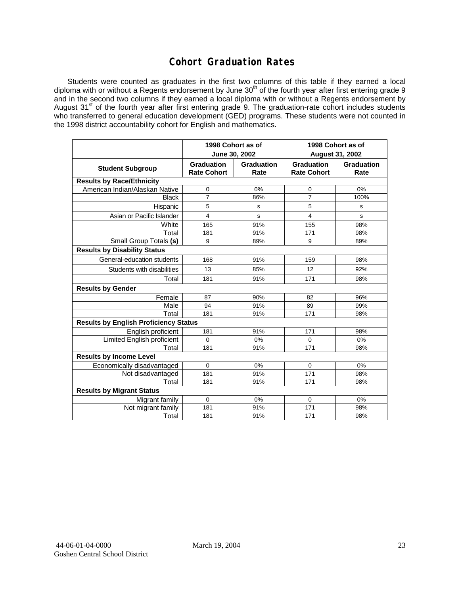## **Cohort Graduation Rates**

Students were counted as graduates in the first two columns of this table if they earned a local diploma with or without a Regents endorsement by June 30<sup>th</sup> of the fourth year after first entering grade 9 and in the second two columns if they earned a local diploma with or without a Regents endorsement by August 31<sup>st</sup> of the fourth year after first entering grade 9. The graduation-rate cohort includes students who transferred to general education development (GED) programs. These students were not counted in the 1998 district accountability cohort for English and mathematics.

|                                              |                                         | 1998 Cohort as of<br>June 30, 2002 | 1998 Cohort as of<br><b>August 31, 2002</b> |                    |  |  |  |  |  |
|----------------------------------------------|-----------------------------------------|------------------------------------|---------------------------------------------|--------------------|--|--|--|--|--|
| <b>Student Subgroup</b>                      | <b>Graduation</b><br><b>Rate Cohort</b> | Graduation<br>Rate                 | <b>Graduation</b><br><b>Rate Cohort</b>     | Graduation<br>Rate |  |  |  |  |  |
| <b>Results by Race/Ethnicity</b>             |                                         |                                    |                                             |                    |  |  |  |  |  |
| American Indian/Alaskan Native               | 0                                       | 0%                                 | 0                                           | 0%                 |  |  |  |  |  |
| <b>Black</b>                                 | $\overline{7}$                          | 86%                                | $\overline{7}$                              | 100%               |  |  |  |  |  |
| Hispanic                                     | 5                                       | s                                  | 5                                           | s                  |  |  |  |  |  |
| Asian or Pacific Islander                    | 4                                       | s                                  | 4                                           | s                  |  |  |  |  |  |
| White                                        | 165                                     | 91%                                | 155                                         | 98%                |  |  |  |  |  |
| Total                                        | 181                                     | 91%                                | 171                                         | 98%                |  |  |  |  |  |
| Small Group Totals (s)                       | 9                                       | 89%                                | 9                                           | 89%                |  |  |  |  |  |
| <b>Results by Disability Status</b>          |                                         |                                    |                                             |                    |  |  |  |  |  |
| General-education students                   | 168                                     | 91%                                | 159                                         | 98%                |  |  |  |  |  |
| Students with disabilities                   | 13                                      | 85%                                | 12                                          | 92%                |  |  |  |  |  |
| Total                                        | 181                                     | 91%                                | 171                                         | 98%                |  |  |  |  |  |
| <b>Results by Gender</b>                     |                                         |                                    |                                             |                    |  |  |  |  |  |
| Female                                       | 87                                      | 90%                                | 82                                          | 96%                |  |  |  |  |  |
| Male                                         | 94                                      | 91%                                | 89                                          | 99%                |  |  |  |  |  |
| Total                                        | 181                                     | 91%                                | 171                                         | 98%                |  |  |  |  |  |
| <b>Results by English Proficiency Status</b> |                                         |                                    |                                             |                    |  |  |  |  |  |
| English proficient                           | 181                                     | 91%                                | 171                                         | 98%                |  |  |  |  |  |
| <b>Limited English proficient</b>            | $\mathbf 0$                             | 0%                                 | $\mathbf 0$                                 | 0%                 |  |  |  |  |  |
| Total                                        | 181                                     | 91%                                | 171                                         | 98%                |  |  |  |  |  |
| <b>Results by Income Level</b>               |                                         |                                    |                                             |                    |  |  |  |  |  |
| Economically disadvantaged                   | $\mathbf 0$                             | 0%                                 | $\mathbf 0$                                 | 0%                 |  |  |  |  |  |
| Not disadvantaged                            | 181                                     | 91%                                | 171                                         | 98%                |  |  |  |  |  |
| Total                                        | 181                                     | 91%                                | 171                                         | 98%                |  |  |  |  |  |
| <b>Results by Migrant Status</b>             |                                         |                                    |                                             |                    |  |  |  |  |  |
| Migrant family                               | $\mathbf 0$                             | 0%                                 | 0                                           | 0%                 |  |  |  |  |  |
| Not migrant family                           | 181                                     | 91%                                | 171                                         | 98%                |  |  |  |  |  |
| Total                                        | 181                                     | 91%                                | 171                                         | 98%                |  |  |  |  |  |